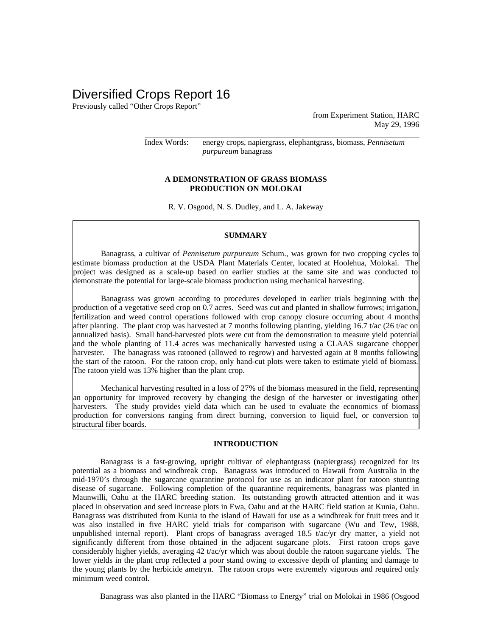# Diversified Crops Report 16

Previously called "Other Crops Report"

from Experiment Station, HARC May 29, 1996

Index Words: energy crops, napiergrass, elephantgrass, biomass, *Pennisetum purpureum* banagrass

## **A DEMONSTRATION OF GRASS BIOMASS PRODUCTION ON MOLOKAI**

R. V. Osgood, N. S. Dudley, and L. A. Jakeway

#### **SUMMARY**

Banagrass, a cultivar of *Pennisetum purpureum* Schum., was grown for two cropping cycles to estimate biomass production at the USDA Plant Materials Center, located at Hoolehua, Molokai. The project was designed as a scale-up based on earlier studies at the same site and was conducted to demonstrate the potential for large-scale biomass production using mechanical harvesting.

Banagrass was grown according to procedures developed in earlier trials beginning with the production of a vegetative seed crop on 0.7 acres. Seed was cut and planted in shallow furrows; irrigation, fertilization and weed control operations followed with crop canopy closure occurring about 4 months after planting. The plant crop was harvested at 7 months following planting, yielding 16.7 t/ac (26 t/ac on annualized basis). Small hand-harvested plots were cut from the demonstration to measure yield potential and the whole planting of 11.4 acres was mechanically harvested using a CLAAS sugarcane chopper harvester. The banagrass was ratooned (allowed to regrow) and harvested again at 8 months following the start of the ratoon. For the ratoon crop, only hand-cut plots were taken to estimate yield of biomass. The ratoon yield was 13% higher than the plant crop.

Mechanical harvesting resulted in a loss of 27% of the biomass measured in the field, representing an opportunity for improved recovery by changing the design of the harvester or investigating other harvesters. The study provides yield data which can be used to evaluate the economics of biomass production for conversions ranging from direct burning, conversion to liquid fuel, or conversion to structural fiber boards.

### **INTRODUCTION**

Banagrass is a fast-growing, upright cultivar of elephantgrass (napiergrass) recognized for its potential as a biomass and windbreak crop. Banagrass was introduced to Hawaii from Australia in the mid-1970's through the sugarcane quarantine protocol for use as an indicator plant for ratoon stunting disease of sugarcane. Following completion of the quarantine requirements, banagrass was planted in Maunwilli, Oahu at the HARC breeding station. Its outstanding growth attracted attention and it was placed in observation and seed increase plots in Ewa, Oahu and at the HARC field station at Kunia, Oahu. Banagrass was distributed from Kunia to the island of Hawaii for use as a windbreak for fruit trees and it was also installed in five HARC yield trials for comparison with sugarcane (Wu and Tew, 1988, unpublished internal report). Plant crops of banagrass averaged  $18.5$  t/ac/yr dry matter, a yield not significantly different from those obtained in the adjacent sugarcane plots. First ratoon crops gave considerably higher yields, averaging 42 t/ac/yr which was about double the ratoon sugarcane yields. The lower yields in the plant crop reflected a poor stand owing to excessive depth of planting and damage to the young plants by the herbicide ametryn. The ratoon crops were extremely vigorous and required only minimum weed control.

Banagrass was also planted in the HARC "Biomass to Energy" trial on Molokai in 1986 (Osgood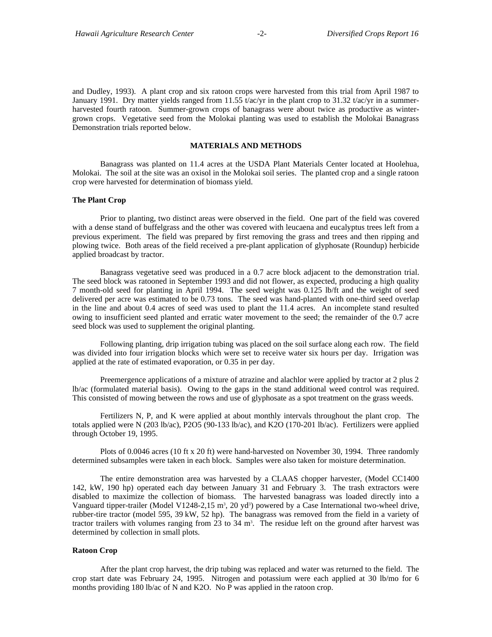and Dudley, 1993). A plant crop and six ratoon crops were harvested from this trial from April 1987 to January 1991. Dry matter yields ranged from 11.55 t/ac/yr in the plant crop to 31.32 t/ac/yr in a summerharvested fourth ratoon. Summer-grown crops of banagrass were about twice as productive as wintergrown crops. Vegetative seed from the Molokai planting was used to establish the Molokai Banagrass Demonstration trials reported below.

# **MATERIALS AND METHODS**

Banagrass was planted on 11.4 acres at the USDA Plant Materials Center located at Hoolehua, Molokai. The soil at the site was an oxisol in the Molokai soil series. The planted crop and a single ratoon crop were harvested for determination of biomass yield.

#### **The Plant Crop**

Prior to planting, two distinct areas were observed in the field. One part of the field was covered with a dense stand of buffelgrass and the other was covered with leucaena and eucalyptus trees left from a previous experiment. The field was prepared by first removing the grass and trees and then ripping and plowing twice. Both areas of the field received a pre-plant application of glyphosate (Roundup) herbicide applied broadcast by tractor.

Banagrass vegetative seed was produced in a 0.7 acre block adjacent to the demonstration trial. The seed block was ratooned in September 1993 and did not flower, as expected, producing a high quality 7 month-old seed for planting in April 1994. The seed weight was 0.125 lb/ft and the weight of seed delivered per acre was estimated to be 0.73 tons. The seed was hand-planted with one-third seed overlap in the line and about 0.4 acres of seed was used to plant the 11.4 acres. An incomplete stand resulted owing to insufficient seed planted and erratic water movement to the seed; the remainder of the 0.7 acre seed block was used to supplement the original planting.

Following planting, drip irrigation tubing was placed on the soil surface along each row. The field was divided into four irrigation blocks which were set to receive water six hours per day. Irrigation was applied at the rate of estimated evaporation, or 0.35 in per day.

Preemergence applications of a mixture of atrazine and alachlor were applied by tractor at 2 plus 2 lb/ac (formulated material basis). Owing to the gaps in the stand additional weed control was required. This consisted of mowing between the rows and use of glyphosate as a spot treatment on the grass weeds.

Fertilizers N, P, and K were applied at about monthly intervals throughout the plant crop. The totals applied were N (203 lb/ac), P2O5 (90-133 lb/ac), and K2O (170-201 lb/ac). Fertilizers were applied through October 19, 1995.

Plots of 0.0046 acres (10 ft x 20 ft) were hand-harvested on November 30, 1994. Three randomly determined subsamples were taken in each block. Samples were also taken for moisture determination.

The entire demonstration area was harvested by a CLAAS chopper harvester, (Model CC1400 142, kW, 190 hp) operated each day between January 31 and February 3. The trash extractors were disabled to maximize the collection of biomass. The harvested banagrass was loaded directly into a Vanguard tipper-trailer (Model V1248-2,15 m<sup>3</sup>, 20 yd<sup>3</sup>) powered by a Case International two-wheel drive, rubber-tire tractor (model 595, 39 kW, 52 hp). The banagrass was removed from the field in a variety of tractor trailers with volumes ranging from 23 to  $34 \text{ m}^3$ . The residue left on the ground after harvest was determined by collection in small plots.

#### **Ratoon Crop**

After the plant crop harvest, the drip tubing was replaced and water was returned to the field. The crop start date was February 24, 1995. Nitrogen and potassium were each applied at 30 lb/mo for 6 months providing 180 lb/ac of N and K2O. No P was applied in the ratoon crop.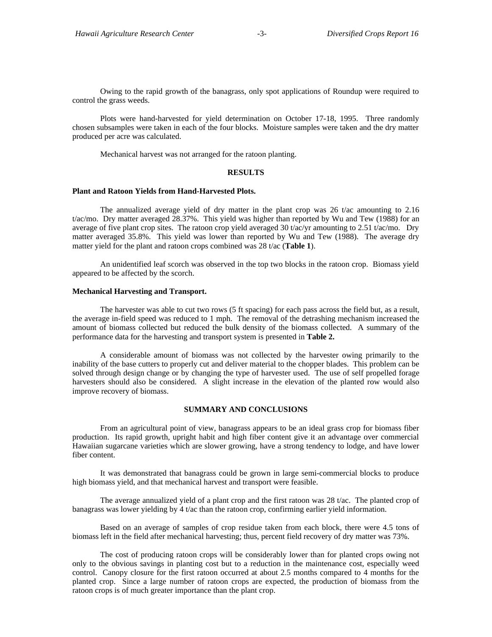Owing to the rapid growth of the banagrass, only spot applications of Roundup were required to control the grass weeds.

Plots were hand-harvested for yield determination on October 17-18, 1995. Three randomly chosen subsamples were taken in each of the four blocks. Moisture samples were taken and the dry matter produced per acre was calculated.

Mechanical harvest was not arranged for the ratoon planting.

#### **RESULTS**

#### **Plant and Ratoon Yields from Hand-Harvested Plots.**

The annualized average yield of dry matter in the plant crop was 26 t/ac amounting to 2.16 t/ac/mo. Dry matter averaged 28.37%. This yield was higher than reported by Wu and Tew (1988) for an average of five plant crop sites. The ratoon crop yield averaged 30  $t/ac/yr$  amounting to 2.51  $t/ac/mo$ . Dry matter averaged 35.8%. This yield was lower than reported by Wu and Tew (1988). The average dry matter yield for the plant and ratoon crops combined was 28 t/ac (**Table 1**).

An unidentified leaf scorch was observed in the top two blocks in the ratoon crop. Biomass yield appeared to be affected by the scorch.

## **Mechanical Harvesting and Transport.**

The harvester was able to cut two rows (5 ft spacing) for each pass across the field but, as a result, the average in-field speed was reduced to 1 mph. The removal of the detrashing mechanism increased the amount of biomass collected but reduced the bulk density of the biomass collected. A summary of the performance data for the harvesting and transport system is presented in **Table 2.**

A considerable amount of biomass was not collected by the harvester owing primarily to the inability of the base cutters to properly cut and deliver material to the chopper blades. This problem can be solved through design change or by changing the type of harvester used. The use of self propelled forage harvesters should also be considered. A slight increase in the elevation of the planted row would also improve recovery of biomass.

#### **SUMMARY AND CONCLUSIONS**

From an agricultural point of view, banagrass appears to be an ideal grass crop for biomass fiber production. Its rapid growth, upright habit and high fiber content give it an advantage over commercial Hawaiian sugarcane varieties which are slower growing, have a strong tendency to lodge, and have lower fiber content.

It was demonstrated that banagrass could be grown in large semi-commercial blocks to produce high biomass yield, and that mechanical harvest and transport were feasible.

The average annualized yield of a plant crop and the first ratoon was 28 t/ac. The planted crop of banagrass was lower yielding by 4 t/ac than the ratoon crop, confirming earlier yield information.

Based on an average of samples of crop residue taken from each block, there were 4.5 tons of biomass left in the field after mechanical harvesting; thus, percent field recovery of dry matter was 73%.

The cost of producing ratoon crops will be considerably lower than for planted crops owing not only to the obvious savings in planting cost but to a reduction in the maintenance cost, especially weed control. Canopy closure for the first ratoon occurred at about 2.5 months compared to 4 months for the planted crop. Since a large number of ratoon crops are expected, the production of biomass from the ratoon crops is of much greater importance than the plant crop.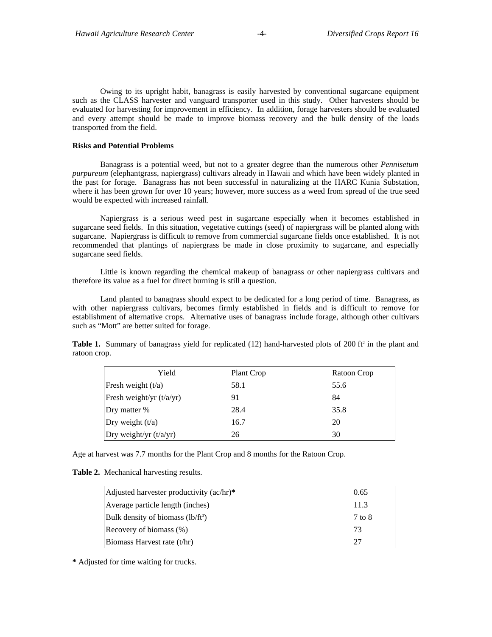Owing to its upright habit, banagrass is easily harvested by conventional sugarcane equipment such as the CLASS harvester and vanguard transporter used in this study. Other harvesters should be evaluated for harvesting for improvement in efficiency. In addition, forage harvesters should be evaluated and every attempt should be made to improve biomass recovery and the bulk density of the loads transported from the field.

# **Risks and Potential Problems**

Banagrass is a potential weed, but not to a greater degree than the numerous other *Pennisetum purpureum* (elephantgrass, napiergrass) cultivars already in Hawaii and which have been widely planted in the past for forage. Banagrass has not been successful in naturalizing at the HARC Kunia Substation, where it has been grown for over 10 years; however, more success as a weed from spread of the true seed would be expected with increased rainfall.

Napiergrass is a serious weed pest in sugarcane especially when it becomes established in sugarcane seed fields. In this situation, vegetative cuttings (seed) of napiergrass will be planted along with sugarcane. Napiergrass is difficult to remove from commercial sugarcane fields once established. It is not recommended that plantings of napiergrass be made in close proximity to sugarcane, and especially sugarcane seed fields.

Little is known regarding the chemical makeup of banagrass or other napiergrass cultivars and therefore its value as a fuel for direct burning is still a question.

Land planted to banagrass should expect to be dedicated for a long period of time. Banagrass, as with other napiergrass cultivars, becomes firmly established in fields and is difficult to remove for establishment of alternative crops. Alternative uses of banagrass include forage, although other cultivars such as "Mott" are better suited for forage.

**Table 1.** Summary of banagrass yield for replicated (12) hand-harvested plots of 200 ft<sup>2</sup> in the plant and ratoon crop.

| Yield                      | Plant Crop | Ratoon Crop |
|----------------------------|------------|-------------|
| Fresh weight $(t/a)$       | 58.1       | 55.6        |
| Fresh weight/yr $(t/a/yr)$ | 91         | 84          |
| Dry matter %               | 28.4       | 35.8        |
| Dry weight $(t/a)$         | 16.7       | 20          |
| Dry weight/yr $(t/a/yr)$   | 26         | 30          |

Age at harvest was 7.7 months for the Plant Crop and 8 months for the Ratoon Crop.

**Table 2.** Mechanical harvesting results.

| Adjusted harvester productivity (ac/hr)* | 0.65   |
|------------------------------------------|--------|
| Average particle length (inches)         | 11.3   |
| Bulk density of biomass $(lb/ft^3)$      | 7 to 8 |
| Recovery of biomass (%)                  | 73     |
| Biomass Harvest rate (t/hr)              | 27     |

**\*** Adjusted for time waiting for trucks.